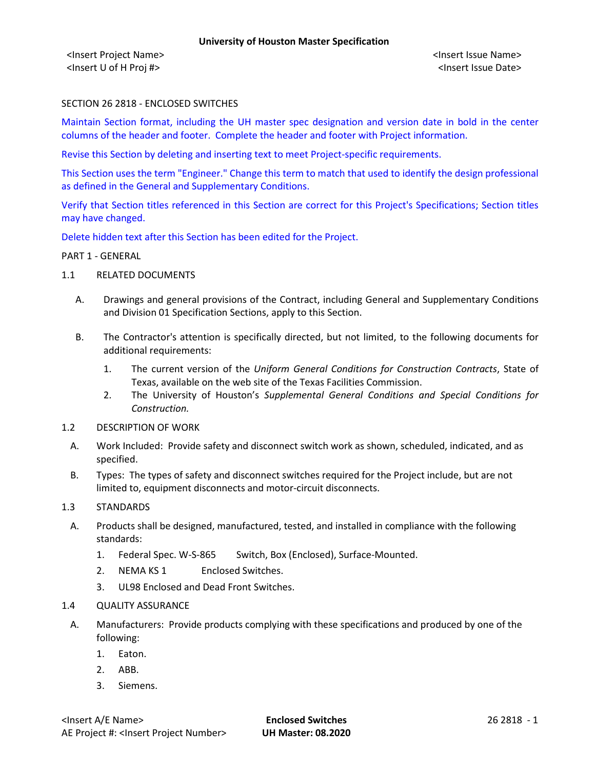<Insert Project Name> <Insert Issue Name> <Insert U of H Proj #> <Insert Issue Date>

# SECTION 26 2818 - ENCLOSED SWITCHES

Maintain Section format, including the UH master spec designation and version date in bold in the center columns of the header and footer. Complete the header and footer with Project information.

Revise this Section by deleting and inserting text to meet Project-specific requirements.

This Section uses the term "Engineer." Change this term to match that used to identify the design professional as defined in the General and Supplementary Conditions.

Verify that Section titles referenced in this Section are correct for this Project's Specifications; Section titles may have changed.

Delete hidden text after this Section has been edited for the Project.

# PART 1 - GENERAL

- 1.1 RELATED DOCUMENTS
	- A. Drawings and general provisions of the Contract, including General and Supplementary Conditions and Division 01 Specification Sections, apply to this Section.
	- B. The Contractor's attention is specifically directed, but not limited, to the following documents for additional requirements:
		- 1. The current version of the *Uniform General Conditions for Construction Contracts*, State of Texas, available on the web site of the Texas Facilities Commission.
		- 2. The University of Houston's *Supplemental General Conditions and Special Conditions for Construction.*
- 1.2 DESCRIPTION OF WORK
- A. Work Included: Provide safety and disconnect switch work as shown, scheduled, indicated, and as specified.
- B. Types: The types of safety and disconnect switches required for the Project include, but are not limited to, equipment disconnects and motor-circuit disconnects.
- 1.3 STANDARDS
	- A. Products shall be designed, manufactured, tested, and installed in compliance with the following standards:
		- 1. Federal Spec. W-S-865 Switch, Box (Enclosed), Surface-Mounted.
		- 2. NEMA KS 1 Enclosed Switches.
		- 3. UL98 Enclosed and Dead Front Switches.
- 1.4 QUALITY ASSURANCE
	- A. Manufacturers: Provide products complying with these specifications and produced by one of the following:
		- 1. Eaton.
		- 2. ABB.
		- 3. Siemens.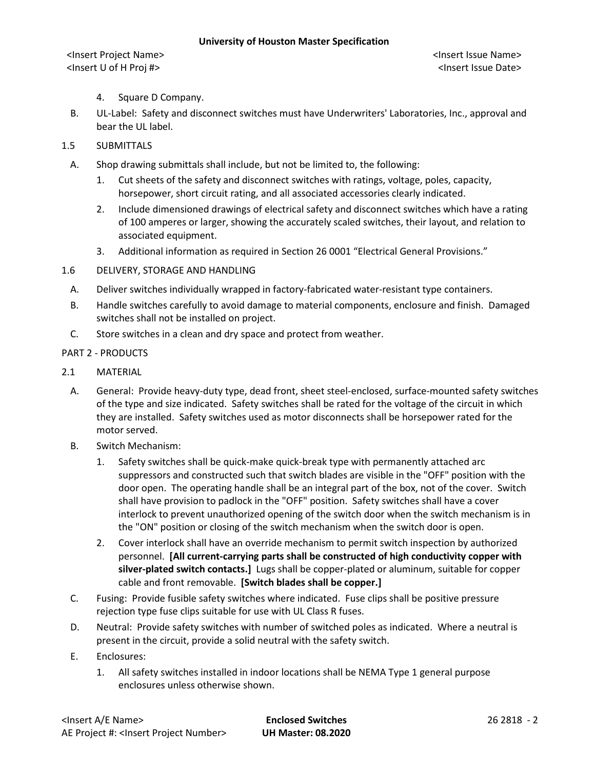#### **University of Houston Master Specification**

<Insert Project Name> <Insert Issue Name> <Insert U of H Proj #> <Insert Issue Date>

- 4. Square D Company.
- B. UL-Label: Safety and disconnect switches must have Underwriters' Laboratories, Inc., approval and bear the UL label.
- 1.5 SUBMITTALS
	- A. Shop drawing submittals shall include, but not be limited to, the following:
		- 1. Cut sheets of the safety and disconnect switches with ratings, voltage, poles, capacity, horsepower, short circuit rating, and all associated accessories clearly indicated.
		- 2. Include dimensioned drawings of electrical safety and disconnect switches which have a rating of 100 amperes or larger, showing the accurately scaled switches, their layout, and relation to associated equipment.
		- 3. Additional information as required in Section 26 0001 "Electrical General Provisions."
- 1.6 DELIVERY, STORAGE AND HANDLING
	- A. Deliver switches individually wrapped in factory-fabricated water-resistant type containers.
	- B. Handle switches carefully to avoid damage to material components, enclosure and finish. Damaged switches shall not be installed on project.
	- C. Store switches in a clean and dry space and protect from weather.

# PART 2 - PRODUCTS

- 2.1 MATERIAL
	- A. General: Provide heavy-duty type, dead front, sheet steel-enclosed, surface-mounted safety switches of the type and size indicated. Safety switches shall be rated for the voltage of the circuit in which they are installed. Safety switches used as motor disconnects shall be horsepower rated for the motor served.
	- B. Switch Mechanism:
		- 1. Safety switches shall be quick-make quick-break type with permanently attached arc suppressors and constructed such that switch blades are visible in the "OFF" position with the door open. The operating handle shall be an integral part of the box, not of the cover. Switch shall have provision to padlock in the "OFF" position. Safety switches shall have a cover interlock to prevent unauthorized opening of the switch door when the switch mechanism is in the "ON" position or closing of the switch mechanism when the switch door is open.
		- 2. Cover interlock shall have an override mechanism to permit switch inspection by authorized personnel. **[All current-carrying parts shall be constructed of high conductivity copper with silver-plated switch contacts.]** Lugs shall be copper-plated or aluminum, suitable for copper cable and front removable. **[Switch blades shall be copper.]**
	- C. Fusing: Provide fusible safety switches where indicated. Fuse clips shall be positive pressure rejection type fuse clips suitable for use with UL Class R fuses.
	- D. Neutral: Provide safety switches with number of switched poles as indicated. Where a neutral is present in the circuit, provide a solid neutral with the safety switch.
	- E. Enclosures:
		- 1. All safety switches installed in indoor locations shall be NEMA Type 1 general purpose enclosures unless otherwise shown.